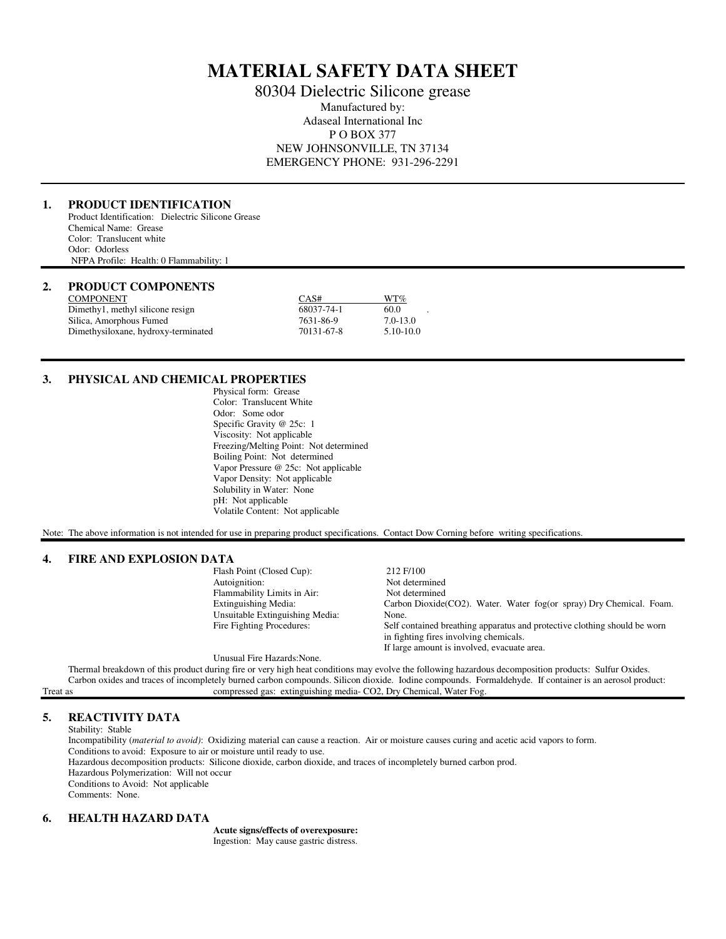# **MATERIAL SAFETY DATA SHEET**

80304 Dielectric Silicone grease Manufactured by: Adaseal International Inc P O BOX 377 NEW JOHNSONVILLE, TN 37134 EMERGENCY PHONE: 931-296-2291

### **1. PRODUCT IDENTIFICATION**

Product Identification: Dielectric Silicone Grease Chemical Name: Grease Color: Translucent white Odor: Odorless NFPA Profile: Health: 0 Flammability: 1

# **2. PRODUCT COMPONENTS**

| <b>COMPONENT</b>                    | CAS#       | WT%          |
|-------------------------------------|------------|--------------|
| Dimethy1, methyl silicone resign    | 68037-74-1 | 60.0         |
| Silica, Amorphous Fumed             | 7631-86-9  | $7.0 - 13.0$ |
| Dimethysiloxane, hydroxy-terminated | 70131-67-8 | 5.10-10.0    |

#### **3. PHYSICAL AND CHEMICAL PROPERTIES**

 Physical form: Grease Color: Translucent White Odor: Some odor Specific Gravity @ 25c: 1 Viscosity: Not applicable Freezing/Melting Point: Not determined Boiling Point: Not determined Vapor Pressure @ 25c: Not applicable Vapor Density: Not applicable Solubility in Water: None pH: Not applicable Volatile Content: Not applicable

Note: The above information is not intended for use in preparing product specifications. Contact Dow Corning before writing specifications.

#### **4. FIRE AND EXPLOSION DATA**

| FINE AND EAL LOSION DATA |                                 |                                                                           |
|--------------------------|---------------------------------|---------------------------------------------------------------------------|
|                          | Flash Point (Closed Cup):       | 212 F/100                                                                 |
|                          | Autoignition:                   | Not determined                                                            |
|                          | Flammability Limits in Air:     | Not determined                                                            |
|                          | Extinguishing Media:            | Carbon Dioxide(CO2). Water. Water fog(or spray) Dry Chemical. Foam.       |
|                          | Unsuitable Extinguishing Media: | None.                                                                     |
|                          | Fire Fighting Procedures:       | Self contained breathing apparatus and protective clothing should be worn |
|                          |                                 | in fighting fires involving chemicals.                                    |
|                          |                                 | If large amount is involved, evacuate area.                               |

Unusual Fire Hazards:None.

 Thermal breakdown of this product during fire or very high heat conditions may evolve the following hazardous decomposition products: Sulfur Oxides. Carbon oxides and traces of incompletely burned carbon compounds. Silicon dioxide. Iodine compounds. Formaldehyde. If container is an aerosol product: Treat as compressed gas: extinguishing media- CO2, Dry Chemical, Water Fog.

### **5. REACTIVITY DATA**

Stability: Stable

 Incompatibility (*material to avoid)*: Oxidizing material can cause a reaction. Air or moisture causes curing and acetic acid vapors to form. Conditions to avoid: Exposure to air or moisture until ready to use. Hazardous decomposition products: Silicone dioxide, carbon dioxide, and traces of incompletely burned carbon prod. Hazardous Polymerization: Will not occur Conditions to Avoid: Not applicable Comments: None.

### **6. HEALTH HAZARD DATA**

 **Acute signs/effects of overexposure:** Ingestion: May cause gastric distress.